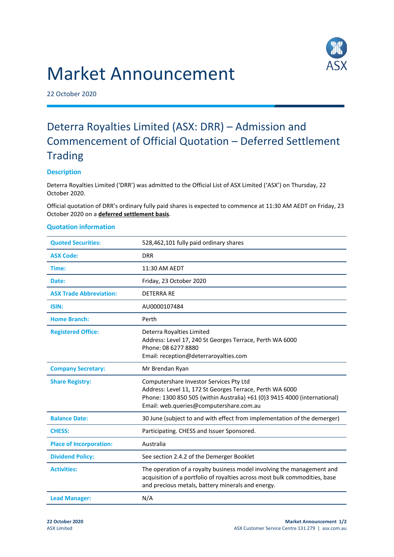# Market Announcement



22 October 2020

# Deterra Royalties Limited (ASX: DRR) – Admission and Commencement of Official Quotation – Deferred Settlement **Trading**

# **Description**

Deterra Royalties Limited ('DRR') was admitted to the Official List of ASX Limited ('ASX') on Thursday, 22 October 2020.

Official quotation of DRR's ordinary fully paid shares is expected to commence at 11:30 AM AEDT on Friday, 23 October 2020 on a **deferred settlement basis**.

## **Quotation information**

| <b>Quoted Securities:</b>      | 528,462,101 fully paid ordinary shares                                                                                                                                                                                      |
|--------------------------------|-----------------------------------------------------------------------------------------------------------------------------------------------------------------------------------------------------------------------------|
| <b>ASX Code:</b>               | <b>DRR</b>                                                                                                                                                                                                                  |
| Time:                          | 11:30 AM AEDT                                                                                                                                                                                                               |
| Date:                          | Friday, 23 October 2020                                                                                                                                                                                                     |
| <b>ASX Trade Abbreviation:</b> | <b>DETERRA RE</b>                                                                                                                                                                                                           |
| ISIN:                          | AU0000107484                                                                                                                                                                                                                |
| <b>Home Branch:</b>            | Perth                                                                                                                                                                                                                       |
| <b>Registered Office:</b>      | Deterra Royalties Limited<br>Address: Level 17, 240 St Georges Terrace, Perth WA 6000<br>Phone: 08 6277 8880<br>Email: reception@deterraroyalties.com                                                                       |
| <b>Company Secretary:</b>      | Mr Brendan Ryan                                                                                                                                                                                                             |
| <b>Share Registry:</b>         | Computershare Investor Services Pty Ltd<br>Address: Level 11, 172 St Georges Terrace, Perth WA 6000<br>Phone: 1300 850 505 (within Australia) +61 (0)3 9415 4000 (international)<br>Email: web.queries@computershare.com.au |
| <b>Balance Date:</b>           | 30 June (subject to and with effect from implementation of the demerger)                                                                                                                                                    |
| <b>CHESS:</b>                  | Participating. CHESS and Issuer Sponsored.                                                                                                                                                                                  |
| <b>Place of Incorporation:</b> | Australia                                                                                                                                                                                                                   |
| <b>Dividend Policy:</b>        | See section 2.4.2 of the Demerger Booklet                                                                                                                                                                                   |
| <b>Activities:</b>             | The operation of a royalty business model involving the management and<br>acquisition of a portfolio of royalties across most bulk commodities, base<br>and precious metals, battery minerals and energy.                   |
| <b>Lead Manager:</b>           | N/A                                                                                                                                                                                                                         |